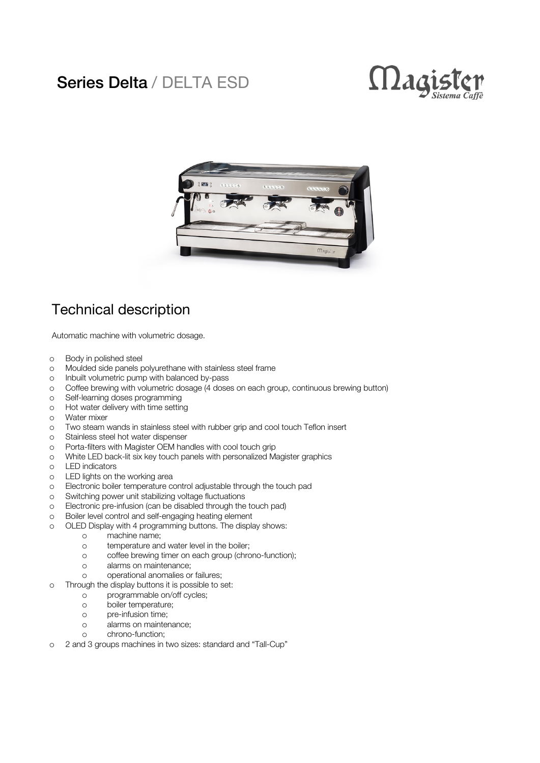## Series Delta / DELTA ESD





## Technical description

Automatic machine with volumetric dosage.

- o Body in polished steel
- o Moulded side panels polyurethane with stainless steel frame
- o Inbuilt volumetric pump with balanced by-pass
- o Coffee brewing with volumetric dosage (4 doses on each group, continuous brewing button)
- o Self-learning doses programming
- o Hot water delivery with time setting
- o Water mixer
- o Two steam wands in stainless steel with rubber grip and cool touch Teflon insert
- o Stainless steel hot water dispenser
- o Porta-filters with Magister OEM handles with cool touch grip
- o White LED back-lit six key touch panels with personalized Magister graphics
- o LED indicators
- o LED lights on the working area
- o Electronic boiler temperature control adjustable through the touch pad
- o Switching power unit stabilizing voltage fluctuations
- o Electronic pre-infusion (can be disabled through the touch pad)
- o Boiler level control and self-engaging heating element
- o OLED Display with 4 programming buttons. The display shows:
	- o machine name;
	- o temperature and water level in the boiler;
	- o coffee brewing timer on each group (chrono-function);
	- o alarms on maintenance;
	- o operational anomalies or failures;
- o Through the display buttons it is possible to set:
	- o programmable on/off cycles;
	- o boiler temperature;
	- o pre-infusion time;
	- o alarms on maintenance;
	- o chrono-function;
- o 2 and 3 groups machines in two sizes: standard and "Tall-Cup"